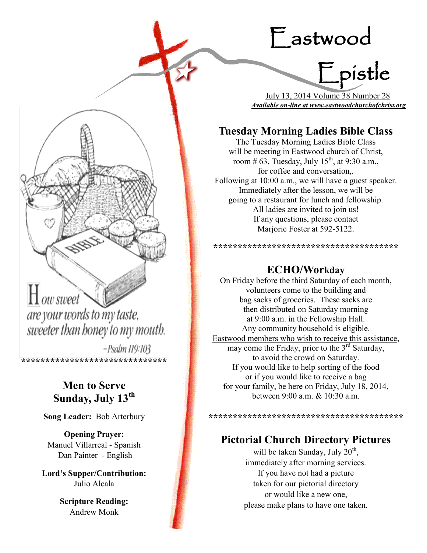# Eastwood

Epistle

 July 13, 2014 Volume 38 Number 28 *Available on-line at www.eastwoodchurchofchrist.org*

# **Tuesday Morning Ladies Bible Class**

The Tuesday Morning Ladies Bible Class will be meeting in Eastwood church of Christ, room # 63, Tuesday, July  $15^{th}$ , at 9:30 a.m., for coffee and conversation,. Following at 10:00 a.m., we will have a guest speaker. Immediately after the lesson, we will be going to a restaurant for lunch and fellowship. All ladies are invited to join us! If any questions, please contact Marjorie Foster at 592-5122.

# **ECHO/Workday**

**\*\*\*\*\*\*\*\*\*\*\*\*\*\*\*\*\*\*\*\*\*\*\*\*\*\*\*\*\*\*\*\*\*\*\*\*\*\***

On Friday before the third Saturday of each month, volunteers come to the building and bag sacks of groceries. These sacks are then distributed on Saturday morning at 9:00 a.m. in the Fellowship Hall. Any community household is eligible. Eastwood members who wish to receive this assistance, may come the Friday, prior to the  $3<sup>rd</sup>$  Saturday, to avoid the crowd on Saturday. If you would like to help sorting of the food or if you would like to receive a bag for your family, be here on Friday, July 18, 2014, between 9:00 a.m. & 10:30 a.m.

**\*\*\*\*\*\*\*\*\*\*\*\*\*\*\*\*\*\*\*\*\*\*\*\*\*\*\*\*\*\*\*\*\*\*\*\*\*\*\*\***

# **Pictorial Church Directory Pictures**

will be taken Sunday, July  $20<sup>th</sup>$ , immediately after morning services. If you have not had a picture taken for our pictorial directory or would like a new one, please make plans to have one taken.



 $H_0$ ow sweet are your words to my taste, sweeter than honey to my mouth.

-Psalm 119:103 **\*\*\*\*\*\*\*\*\*\*\*\*\*\*\*\*\*\*\*\*\*\*\*\*\*\*\*\*\*\***

# **Men to Serve Sunday, July 13th**

**Song Leader:** Bob Arterbury

**Opening Prayer:** Manuel Villarreal - Spanish Dan Painter - English

**Lord's Supper/Contribution:**  Julio Alcala

> **Scripture Reading:**  Andrew Monk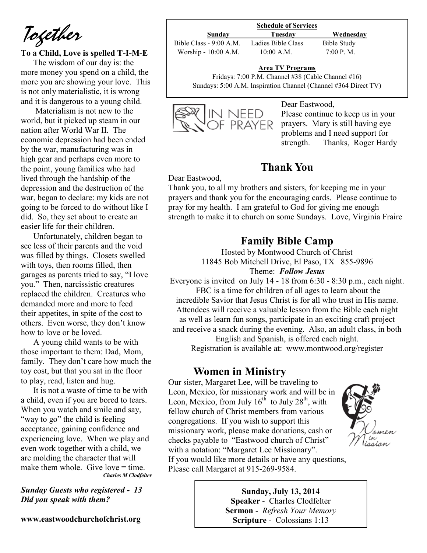*Together*

#### **To a Child, Love is spelled T-I-M-E**

The wisdom of our day is: the more money you spend on a child, the more you are showing your love. This is not only materialistic, it is wrong and it is dangerous to a young child.

Materialism is not new to the world, but it picked up steam in our nation after World War II. The economic depression had been ended by the war, manufacturing was in high gear and perhaps even more to the point, young families who had lived through the hardship of the depression and the destruction of the war, began to declare: my kids are not going to be forced to do without like I did. So, they set about to create an easier life for their children.

Unfortunately, children began to see less of their parents and the void was filled by things. Closets swelled with toys, then rooms filled, then garages as parents tried to say, "I love you." Then, narcissistic creatures replaced the children. Creatures who demanded more and more to feed their appetites, in spite of the cost to others. Even worse, they don't know how to love or be loved.

A young child wants to be with those important to them: Dad, Mom, family. They don't care how much the toy cost, but that you sat in the floor to play, read, listen and hug.

It is not a waste of time to be with a child, even if you are bored to tears. When you watch and smile and say, "way to go" the child is feeling" acceptance, gaining confidence and experiencing love. When we play and even work together with a child, we are molding the character that will make them whole. Give love  $=$  time. *Charles M Clodfelter*

*Sunday Guests who registered - 13 Did you speak with them?*

**www.eastwoodchurchofchrist.org**

#### **Schedule of Services**

Bible Class - 9:00 A.M. Ladies Bible Class Bible Study Worship - 10:00 A.M. 10:00 A.M. 7:00 P.M.

**Sunday Tuesday Wednesday**

**Area TV Programs**

Area TV Programs<br>Fridays: 7:00 P.M. Channel #38 (Cable Channel #16) Sundays: 5:00 A.M. Inspiration Channel (Channel #364 Direct TV)



#### Dear Eastwood,

Please continue to keep us in your prayers. Mary is still having eye problems and I need support for strength. Thanks, Roger Hardy

# **Thank You**

Dear Eastwood,

Thank you, to all my brothers and sisters, for keeping me in your prayers and thank you for the encouraging cards. Please continue to pray for my health. I am grateful to God for giving me enough strength to make it to church on some Sundays. Love, Virginia Fraire

# **Family Bible Camp**

Hosted by Montwood Church of Christ 11845 Bob Mitchell Drive, El Paso, TX 855-9896 Theme: *Follow Jesus*

Everyone is invited on July 14 - 18 from 6:30 - 8:30 p.m., each night. FBC is a time for children of all ages to learn about the incredible Savior that Jesus Christ is for all who trust in His name. Attendees will receive a valuable lesson from the Bible each night as well as learn fun songs, participate in an exciting craft project and receive a snack during the evening. Also, an adult class, in both

English and Spanish, is offered each night. Registration is available at: www.montwood.org/register

# **Women in Ministry**

Our sister, Margaret Lee, will be traveling to Leon, Mexico, for missionary work and will be in Leon, Mexico, from July  $16^{th}$  to July  $28^{th}$ , with fellow church of Christ members from various congregations. If you wish to support this missionary work, please make donations, cash or checks payable to "Eastwood church of Christ" with a notation: "Margaret Lee Missionary". If you would like more details or have any questions, Please call Margaret at 915-269-9584.



**Sunday, July 13, 2014 Speaker** - Charles Clodfelter **Sermon** - *Refresh Your Memory*  **Scripture** - Colossians 1:13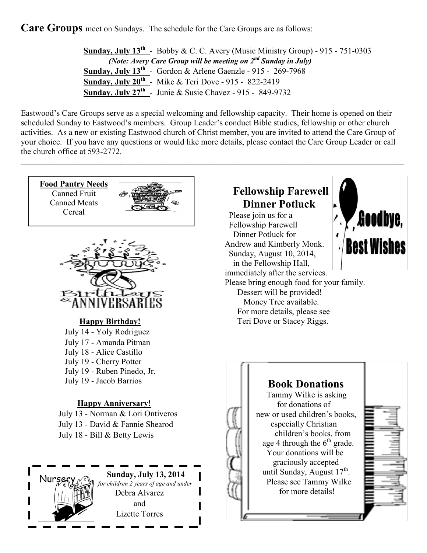**Care Groups** meet on Sundays. The schedule for the Care Groups are as follows:

**Sunday, July**  $13^{th}$  - Bobby & C. C. Avery (Music Ministry Group) - 915 - 751-0303 *(Note: Avery Care Group will be meeting on 2nd Sunday in July)* **Sunday, July 13<sup>th</sup>** - Gordon & Arlene Gaenzle - 915 - 269-7968 **Sunday, July 20th** - Mike & Teri Dove - 915 - 822-2419 **Sunday, July 27th** - Junie & Susie Chavez - 915 - 849-9732

Eastwood's Care Groups serve as a special welcoming and fellowship capacity. Their home is opened on their scheduled Sunday to Eastwood's members. Group Leader's conduct Bible studies, fellowship or other church activities. As a new or existing Eastwood church of Christ member, you are invited to attend the Care Group of your choice. If you have any questions or would like more details, please contact the Care Group Leader or call the church office at 593-2772.

 $\_$ 

**Food Pantry Needs** Canned Fruit Canned Meats Cereal





# **Happy Birthday!**

July 14 - Yoly Rodriguez July 17 - Amanda Pitman July 18 - Alice Castillo July 19 - Cherry Potter July 19 - Ruben Pinedo, Jr. July 19 - Jacob Barrios

## **Happy Anniversary!**

July 13 - Norman & Lori Ontiveros July 13 - David & Fannie Shearod July 18 - Bill & Betty Lewis

> **Sunday, July 13, 2014**   *for children 2 years of age and under*  Debra Alvarez and Lizette Torres

# **Fellowship Farewell Dinner Potluck**

 Please join us for a Fellowship Farewell Dinner Potluck for Andrew and Kimberly Monk. Sunday, August 10, 2014, in the Fellowship Hall, immediately after the services. Please bring enough food for your family. Dessert will be provided! Money Tree available. For more details, please see Teri Dove or Stacey Riggs.